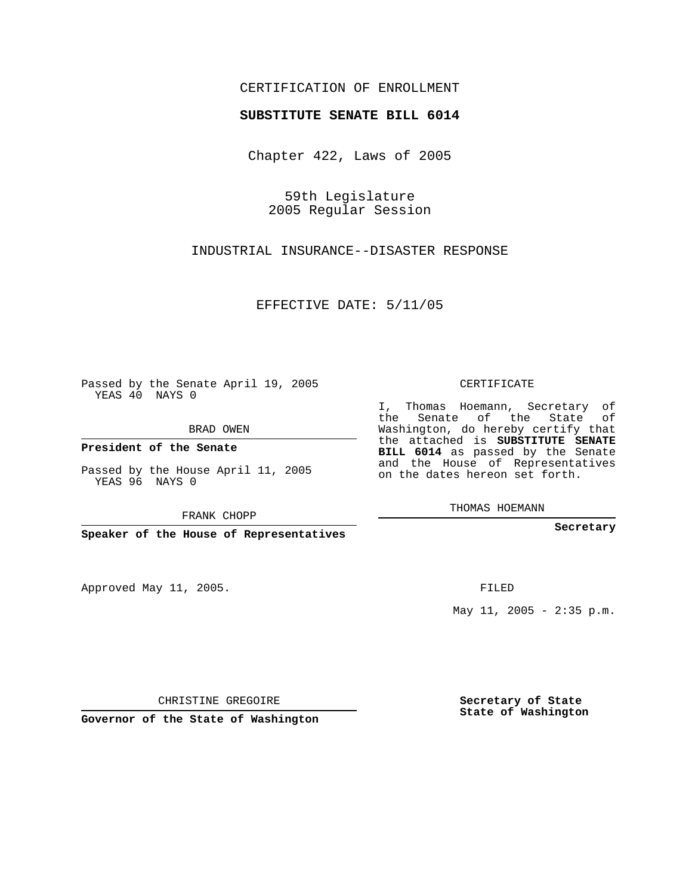## CERTIFICATION OF ENROLLMENT

## **SUBSTITUTE SENATE BILL 6014**

Chapter 422, Laws of 2005

59th Legislature 2005 Regular Session

INDUSTRIAL INSURANCE--DISASTER RESPONSE

EFFECTIVE DATE: 5/11/05

Passed by the Senate April 19, 2005 YEAS 40 NAYS 0

BRAD OWEN

**President of the Senate**

Passed by the House April 11, 2005 YEAS 96 NAYS 0

FRANK CHOPP

**Speaker of the House of Representatives**

Approved May 11, 2005.

CERTIFICATE

I, Thomas Hoemann, Secretary of the Senate of the State of Washington, do hereby certify that the attached is **SUBSTITUTE SENATE BILL 6014** as passed by the Senate and the House of Representatives on the dates hereon set forth.

THOMAS HOEMANN

**Secretary**

FILED

May  $11$ ,  $2005 - 2:35$  p.m.

CHRISTINE GREGOIRE

**Governor of the State of Washington**

**Secretary of State State of Washington**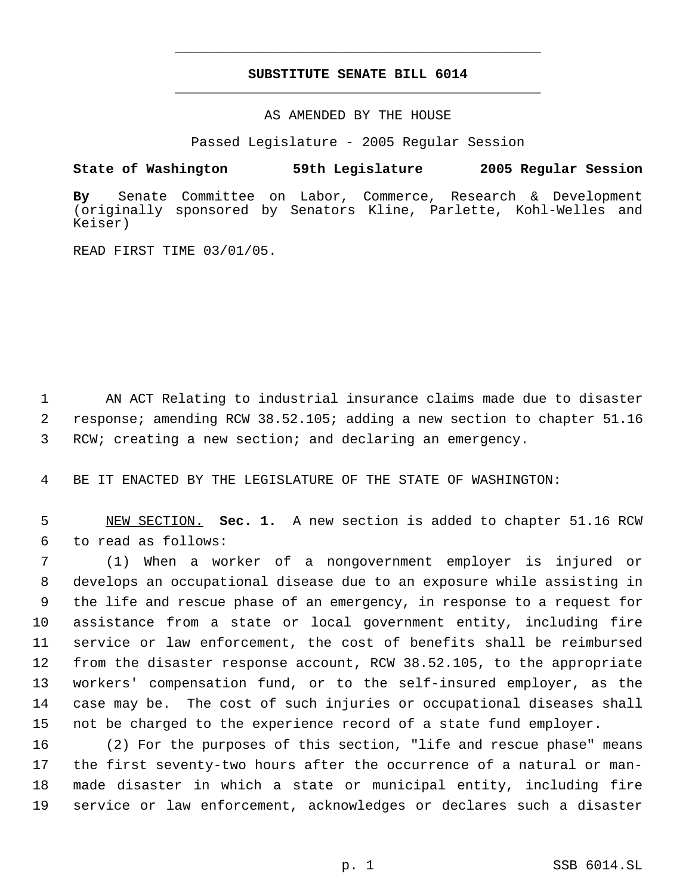## **SUBSTITUTE SENATE BILL 6014** \_\_\_\_\_\_\_\_\_\_\_\_\_\_\_\_\_\_\_\_\_\_\_\_\_\_\_\_\_\_\_\_\_\_\_\_\_\_\_\_\_\_\_\_\_

\_\_\_\_\_\_\_\_\_\_\_\_\_\_\_\_\_\_\_\_\_\_\_\_\_\_\_\_\_\_\_\_\_\_\_\_\_\_\_\_\_\_\_\_\_

AS AMENDED BY THE HOUSE

Passed Legislature - 2005 Regular Session

## **State of Washington 59th Legislature 2005 Regular Session**

**By** Senate Committee on Labor, Commerce, Research & Development (originally sponsored by Senators Kline, Parlette, Kohl-Welles and Keiser)

READ FIRST TIME 03/01/05.

 AN ACT Relating to industrial insurance claims made due to disaster response; amending RCW 38.52.105; adding a new section to chapter 51.16 RCW; creating a new section; and declaring an emergency.

BE IT ENACTED BY THE LEGISLATURE OF THE STATE OF WASHINGTON:

 NEW SECTION. **Sec. 1.** A new section is added to chapter 51.16 RCW to read as follows:

 (1) When a worker of a nongovernment employer is injured or develops an occupational disease due to an exposure while assisting in the life and rescue phase of an emergency, in response to a request for assistance from a state or local government entity, including fire service or law enforcement, the cost of benefits shall be reimbursed from the disaster response account, RCW 38.52.105, to the appropriate workers' compensation fund, or to the self-insured employer, as the case may be. The cost of such injuries or occupational diseases shall not be charged to the experience record of a state fund employer.

 (2) For the purposes of this section, "life and rescue phase" means the first seventy-two hours after the occurrence of a natural or man- made disaster in which a state or municipal entity, including fire service or law enforcement, acknowledges or declares such a disaster